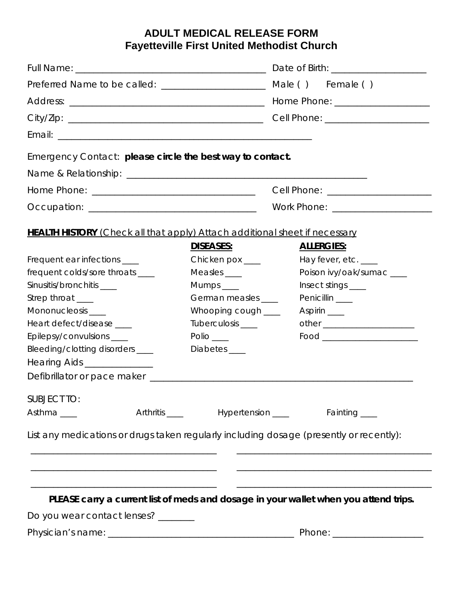## **ADULT MEDICAL RELEASE FORM Fayetteville First United Methodist Church**

| Preferred Name to be called: _________________________                                  |                          | Male () Female ()                                                                    |  |
|-----------------------------------------------------------------------------------------|--------------------------|--------------------------------------------------------------------------------------|--|
|                                                                                         |                          | Home Phone: _______________________                                                  |  |
|                                                                                         |                          |                                                                                      |  |
|                                                                                         |                          |                                                                                      |  |
| Emergency Contact: please circle the best way to contact.                               |                          |                                                                                      |  |
|                                                                                         |                          |                                                                                      |  |
|                                                                                         |                          |                                                                                      |  |
|                                                                                         |                          | Work Phone: _______________________                                                  |  |
|                                                                                         |                          |                                                                                      |  |
| <b>HEALTH HISTORY</b> (Check all that apply) Attach additional sheet if necessary       |                          |                                                                                      |  |
|                                                                                         | DISEASES:                | <b>ALLERGIES:</b>                                                                    |  |
| Frequent ear infections ____                                                            | Chicken pox ____         | Hay fever, etc. ___                                                                  |  |
| frequent colds/sore throats ____                                                        | Measles ____             | Poison ivy/oak/sumac ___                                                             |  |
| Sinusitis/bronchitis ____                                                               | $Mumps$ <sub>_____</sub> | Insect stings ____                                                                   |  |
| Strep throat ___                                                                        | German measles ____      | Penicillin <sub>__</sub>                                                             |  |
| Mononucleosis ___                                                                       | Whooping cough ____      | Aspirin $\_\_\_\_\$                                                                  |  |
| Heart defect/disease ____                                                               | Tuberculosis ____        |                                                                                      |  |
| Epilepsy/convulsions ____                                                               | Polio $\_\_$             |                                                                                      |  |
| Bleeding/clotting disorders ____                                                        | Diabetes ____            |                                                                                      |  |
| Hearing Aids ________________                                                           |                          |                                                                                      |  |
|                                                                                         |                          |                                                                                      |  |
| <b>SUBJECT TO:</b>                                                                      |                          |                                                                                      |  |
| Asthma___                                                                               |                          | Arthritis ______ Hypertension _____ Fainting ___                                     |  |
|                                                                                         |                          |                                                                                      |  |
| List any medications or drugs taken regularly including dosage (presently or recently): |                          |                                                                                      |  |
|                                                                                         |                          |                                                                                      |  |
|                                                                                         |                          |                                                                                      |  |
|                                                                                         |                          |                                                                                      |  |
|                                                                                         |                          | PLEASE carry a current list of meds and dosage in your wallet when you attend trips. |  |
| Do you wear contact lenses? ______                                                      |                          |                                                                                      |  |
|                                                                                         |                          |                                                                                      |  |